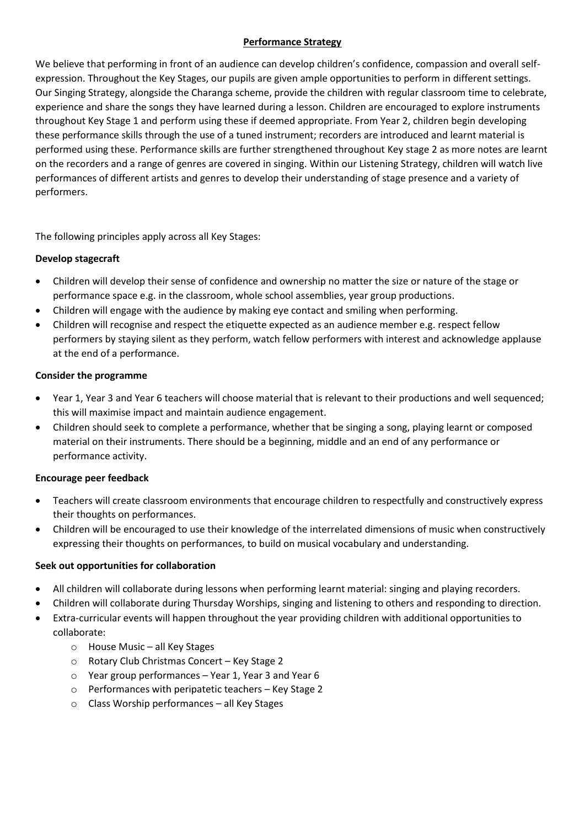# **Performance Strategy**

We believe that performing in front of an audience can develop children's confidence, compassion and overall selfexpression. Throughout the Key Stages, our pupils are given ample opportunities to perform in different settings. Our Singing Strategy, alongside the Charanga scheme, provide the children with regular classroom time to celebrate, experience and share the songs they have learned during a lesson. Children are encouraged to explore instruments throughout Key Stage 1 and perform using these if deemed appropriate. From Year 2, children begin developing these performance skills through the use of a tuned instrument; recorders are introduced and learnt material is performed using these. Performance skills are further strengthened throughout Key stage 2 as more notes are learnt on the recorders and a range of genres are covered in singing. Within our Listening Strategy, children will watch live performances of different artists and genres to develop their understanding of stage presence and a variety of performers.

The following principles apply across all Key Stages:

# **Develop stagecraft**

- Children will develop their sense of confidence and ownership no matter the size or nature of the stage or performance space e.g. in the classroom, whole school assemblies, year group productions.
- Children will engage with the audience by making eye contact and smiling when performing.
- Children will recognise and respect the etiquette expected as an audience member e.g. respect fellow performers by staying silent as they perform, watch fellow performers with interest and acknowledge applause at the end of a performance.

### **Consider the programme**

- Year 1, Year 3 and Year 6 teachers will choose material that is relevant to their productions and well sequenced; this will maximise impact and maintain audience engagement.
- Children should seek to complete a performance, whether that be singing a song, playing learnt or composed material on their instruments. There should be a beginning, middle and an end of any performance or performance activity.

# **Encourage peer feedback**

- Teachers will create classroom environments that encourage children to respectfully and constructively express their thoughts on performances.
- Children will be encouraged to use their knowledge of the interrelated dimensions of music when constructively expressing their thoughts on performances, to build on musical vocabulary and understanding.

#### **Seek out opportunities for collaboration**

- All children will collaborate during lessons when performing learnt material: singing and playing recorders.
- Children will collaborate during Thursday Worships, singing and listening to others and responding to direction.
- Extra-curricular events will happen throughout the year providing children with additional opportunities to collaborate:
	- o House Music all Key Stages
	- o Rotary Club Christmas Concert Key Stage 2
	- $\circ$  Year group performances Year 1, Year 3 and Year 6
	- o Performances with peripatetic teachers Key Stage 2
	- o Class Worship performances all Key Stages